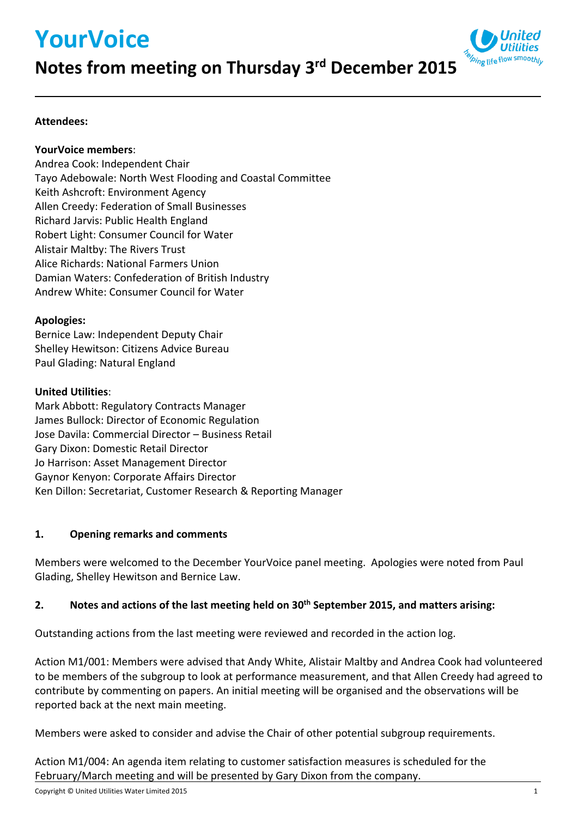# **YourVoice**



# **Notes from meeting on Thursday 3rd December 2015**

### **Attendees:**

#### **YourVoice members**:

Andrea Cook: Independent Chair Tayo Adebowale: North West Flooding and Coastal Committee Keith Ashcroft: Environment Agency Allen Creedy: Federation of Small Businesses Richard Jarvis: Public Health England Robert Light: Consumer Council for Water Alistair Maltby: The Rivers Trust Alice Richards: National Farmers Union Damian Waters: Confederation of British Industry Andrew White: Consumer Council for Water

#### **Apologies:**

Bernice Law: Independent Deputy Chair Shelley Hewitson: Citizens Advice Bureau Paul Glading: Natural England

#### **United Utilities**:

Mark Abbott: Regulatory Contracts Manager James Bullock: Director of Economic Regulation Jose Davila: Commercial Director – Business Retail Gary Dixon: Domestic Retail Director Jo Harrison: Asset Management Director Gaynor Kenyon: Corporate Affairs Director Ken Dillon: Secretariat, Customer Research & Reporting Manager

### **1. Opening remarks and comments**

Members were welcomed to the December YourVoice panel meeting. Apologies were noted from Paul Glading, Shelley Hewitson and Bernice Law.

### **2. Notes and actions of the last meeting held on 30th September 2015, and matters arising:**

Outstanding actions from the last meeting were reviewed and recorded in the action log.

Action M1/001: Members were advised that Andy White, Alistair Maltby and Andrea Cook had volunteered to be members of the subgroup to look at performance measurement, and that Allen Creedy had agreed to contribute by commenting on papers. An initial meeting will be organised and the observations will be reported back at the next main meeting.

Members were asked to consider and advise the Chair of other potential subgroup requirements.

Action M1/004: An agenda item relating to customer satisfaction measures is scheduled for the February/March meeting and will be presented by Gary Dixon from the company.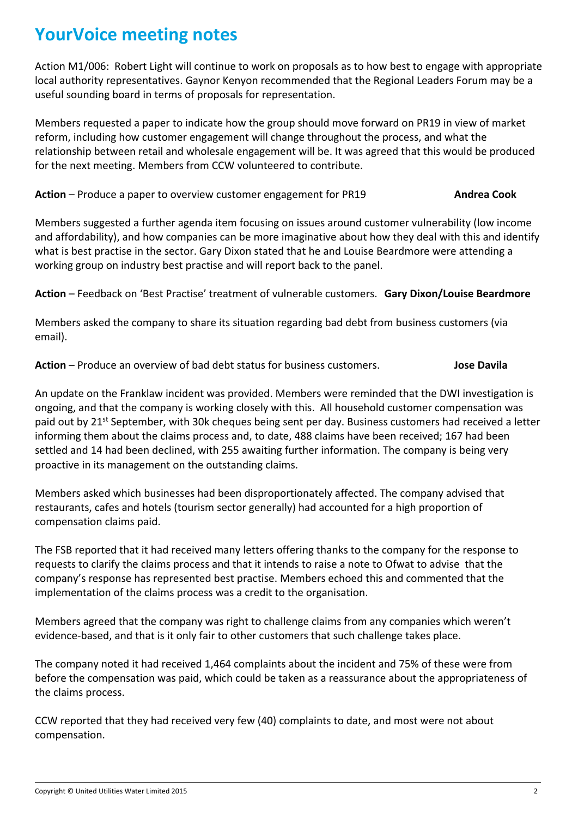Action M1/006: Robert Light will continue to work on proposals as to how best to engage with appropriate local authority representatives. Gaynor Kenyon recommended that the Regional Leaders Forum may be a useful sounding board in terms of proposals for representation.

Members requested a paper to indicate how the group should move forward on PR19 in view of market reform, including how customer engagement will change throughout the process, and what the relationship between retail and wholesale engagement will be. It was agreed that this would be produced for the next meeting. Members from CCW volunteered to contribute.

### **Action** – Produce a paper to overview customer engagement for PR19 **Andrea Cook**

Members suggested a further agenda item focusing on issues around customer vulnerability (low income and affordability), and how companies can be more imaginative about how they deal with this and identify what is best practise in the sector. Gary Dixon stated that he and Louise Beardmore were attending a working group on industry best practise and will report back to the panel.

**Action** – Feedback on 'Best Practise' treatment of vulnerable customers. **Gary Dixon/Louise Beardmore**

Members asked the company to share its situation regarding bad debt from business customers (via email).

**Action** – Produce an overview of bad debt status for business customers. **Jose Davila** 

An update on the Franklaw incident was provided. Members were reminded that the DWI investigation is ongoing, and that the company is working closely with this. All household customer compensation was paid out by 21<sup>st</sup> September, with 30k cheques being sent per day. Business customers had received a letter informing them about the claims process and, to date, 488 claims have been received; 167 had been settled and 14 had been declined, with 255 awaiting further information. The company is being very proactive in its management on the outstanding claims.

Members asked which businesses had been disproportionately affected. The company advised that restaurants, cafes and hotels (tourism sector generally) had accounted for a high proportion of compensation claims paid.

The FSB reported that it had received many letters offering thanks to the company for the response to requests to clarify the claims process and that it intends to raise a note to Ofwat to advise that the company's response has represented best practise. Members echoed this and commented that the implementation of the claims process was a credit to the organisation.

Members agreed that the company was right to challenge claims from any companies which weren't evidence-based, and that is it only fair to other customers that such challenge takes place.

The company noted it had received 1,464 complaints about the incident and 75% of these were from before the compensation was paid, which could be taken as a reassurance about the appropriateness of the claims process.

CCW reported that they had received very few (40) complaints to date, and most were not about compensation.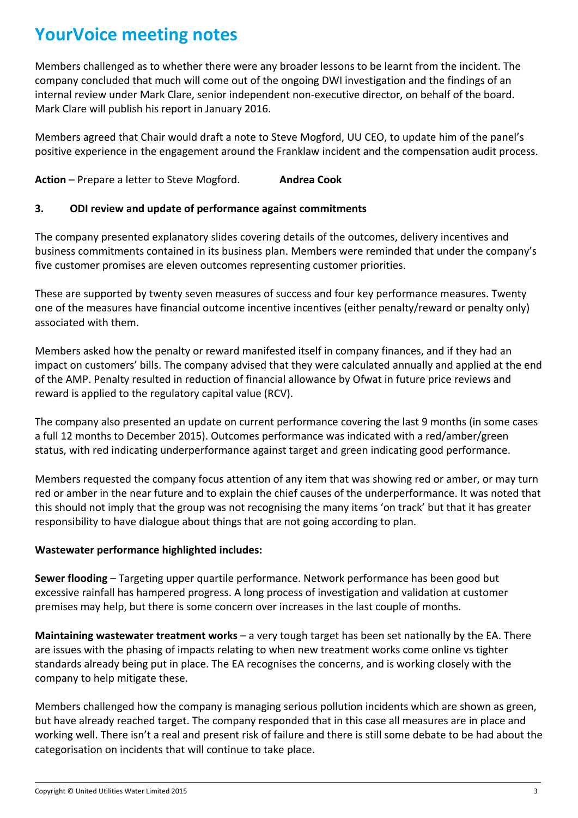Members challenged as to whether there were any broader lessons to be learnt from the incident. The company concluded that much will come out of the ongoing DWI investigation and the findings of an internal review under Mark Clare, senior independent non-executive director, on behalf of the board. Mark Clare will publish his report in January 2016.

Members agreed that Chair would draft a note to Steve Mogford, UU CEO, to update him of the panel's positive experience in the engagement around the Franklaw incident and the compensation audit process.

**Action** – Prepare a letter to Steve Mogford. **Andrea Cook**

#### **3. ODI review and update of performance against commitments**

The company presented explanatory slides covering details of the outcomes, delivery incentives and business commitments contained in its business plan. Members were reminded that under the company's five customer promises are eleven outcomes representing customer priorities.

These are supported by twenty seven measures of success and four key performance measures. Twenty one of the measures have financial outcome incentive incentives (either penalty/reward or penalty only) associated with them.

Members asked how the penalty or reward manifested itself in company finances, and if they had an impact on customers' bills. The company advised that they were calculated annually and applied at the end of the AMP. Penalty resulted in reduction of financial allowance by Ofwat in future price reviews and reward is applied to the regulatory capital value (RCV).

The company also presented an update on current performance covering the last 9 months (in some cases a full 12 months to December 2015). Outcomes performance was indicated with a red/amber/green status, with red indicating underperformance against target and green indicating good performance.

Members requested the company focus attention of any item that was showing red or amber, or may turn red or amber in the near future and to explain the chief causes of the underperformance. It was noted that this should not imply that the group was not recognising the many items 'on track' but that it has greater responsibility to have dialogue about things that are not going according to plan.

### **Wastewater performance highlighted includes:**

**Sewer flooding** – Targeting upper quartile performance. Network performance has been good but excessive rainfall has hampered progress. A long process of investigation and validation at customer premises may help, but there is some concern over increases in the last couple of months.

**Maintaining wastewater treatment works** – a very tough target has been set nationally by the EA. There are issues with the phasing of impacts relating to when new treatment works come online vs tighter standards already being put in place. The EA recognises the concerns, and is working closely with the company to help mitigate these.

Members challenged how the company is managing serious pollution incidents which are shown as green, but have already reached target. The company responded that in this case all measures are in place and working well. There isn't a real and present risk of failure and there is still some debate to be had about the categorisation on incidents that will continue to take place.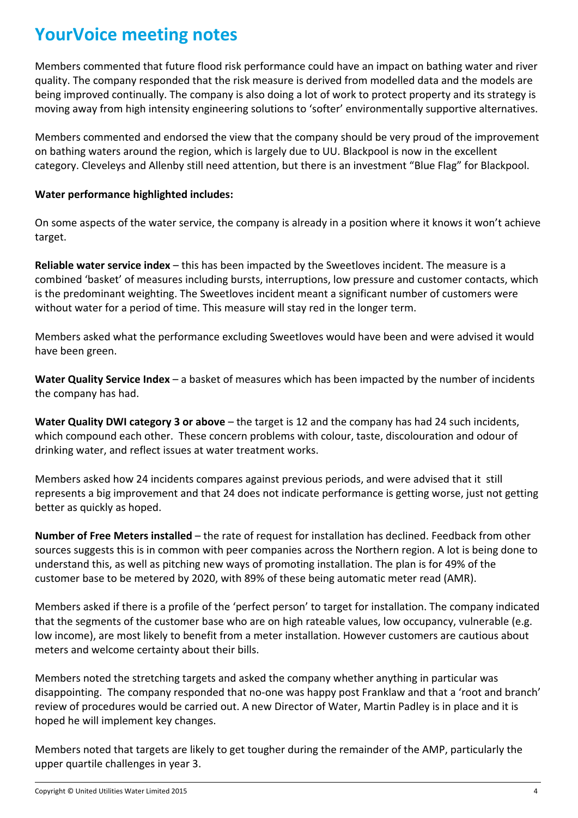Members commented that future flood risk performance could have an impact on bathing water and river quality. The company responded that the risk measure is derived from modelled data and the models are being improved continually. The company is also doing a lot of work to protect property and its strategy is moving away from high intensity engineering solutions to 'softer' environmentally supportive alternatives.

Members commented and endorsed the view that the company should be very proud of the improvement on bathing waters around the region, which is largely due to UU. Blackpool is now in the excellent category. Cleveleys and Allenby still need attention, but there is an investment "Blue Flag" for Blackpool.

### **Water performance highlighted includes:**

On some aspects of the water service, the company is already in a position where it knows it won't achieve target.

**Reliable water service index** – this has been impacted by the Sweetloves incident. The measure is a combined 'basket' of measures including bursts, interruptions, low pressure and customer contacts, which is the predominant weighting. The Sweetloves incident meant a significant number of customers were without water for a period of time. This measure will stay red in the longer term.

Members asked what the performance excluding Sweetloves would have been and were advised it would have been green.

**Water Quality Service Index** – a basket of measures which has been impacted by the number of incidents the company has had.

**Water Quality DWI category 3 or above** – the target is 12 and the company has had 24 such incidents, which compound each other. These concern problems with colour, taste, discolouration and odour of drinking water, and reflect issues at water treatment works.

Members asked how 24 incidents compares against previous periods, and were advised that it still represents a big improvement and that 24 does not indicate performance is getting worse, just not getting better as quickly as hoped.

**Number of Free Meters installed** – the rate of request for installation has declined. Feedback from other sources suggests this is in common with peer companies across the Northern region. A lot is being done to understand this, as well as pitching new ways of promoting installation. The plan is for 49% of the customer base to be metered by 2020, with 89% of these being automatic meter read (AMR).

Members asked if there is a profile of the 'perfect person' to target for installation. The company indicated that the segments of the customer base who are on high rateable values, low occupancy, vulnerable (e.g. low income), are most likely to benefit from a meter installation. However customers are cautious about meters and welcome certainty about their bills.

Members noted the stretching targets and asked the company whether anything in particular was disappointing. The company responded that no-one was happy post Franklaw and that a 'root and branch' review of procedures would be carried out. A new Director of Water, Martin Padley is in place and it is hoped he will implement key changes.

Members noted that targets are likely to get tougher during the remainder of the AMP, particularly the upper quartile challenges in year 3.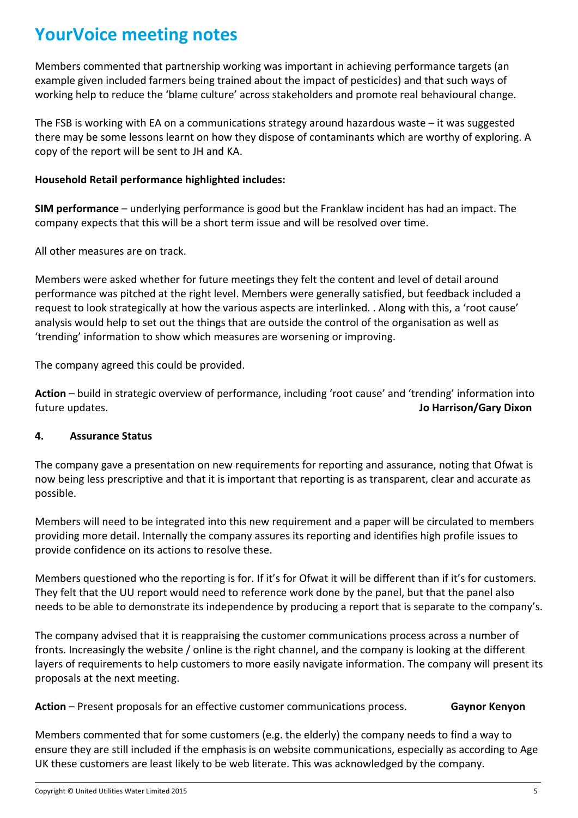Members commented that partnership working was important in achieving performance targets (an example given included farmers being trained about the impact of pesticides) and that such ways of working help to reduce the 'blame culture' across stakeholders and promote real behavioural change.

The FSB is working with EA on a communications strategy around hazardous waste – it was suggested there may be some lessons learnt on how they dispose of contaminants which are worthy of exploring. A copy of the report will be sent to JH and KA.

### **Household Retail performance highlighted includes:**

**SIM performance** – underlying performance is good but the Franklaw incident has had an impact. The company expects that this will be a short term issue and will be resolved over time.

All other measures are on track.

Members were asked whether for future meetings they felt the content and level of detail around performance was pitched at the right level. Members were generally satisfied, but feedback included a request to look strategically at how the various aspects are interlinked. . Along with this, a 'root cause' analysis would help to set out the things that are outside the control of the organisation as well as 'trending' information to show which measures are worsening or improving.

The company agreed this could be provided.

**Action** – build in strategic overview of performance, including 'root cause' and 'trending' information into future updates. **Jo Harrison/Gary Dixon**

### **4. Assurance Status**

The company gave a presentation on new requirements for reporting and assurance, noting that Ofwat is now being less prescriptive and that it is important that reporting is as transparent, clear and accurate as possible.

Members will need to be integrated into this new requirement and a paper will be circulated to members providing more detail. Internally the company assures its reporting and identifies high profile issues to provide confidence on its actions to resolve these.

Members questioned who the reporting is for. If it's for Ofwat it will be different than if it's for customers. They felt that the UU report would need to reference work done by the panel, but that the panel also needs to be able to demonstrate its independence by producing a report that is separate to the company's.

The company advised that it is reappraising the customer communications process across a number of fronts. Increasingly the website / online is the right channel, and the company is looking at the different layers of requirements to help customers to more easily navigate information. The company will present its proposals at the next meeting.

Action – Present proposals for an effective customer communications process. **Gaynor Kenyon** 

Members commented that for some customers (e.g. the elderly) the company needs to find a way to ensure they are still included if the emphasis is on website communications, especially as according to Age UK these customers are least likely to be web literate. This was acknowledged by the company.

Copyright © United Utilities Water Limited 2015 5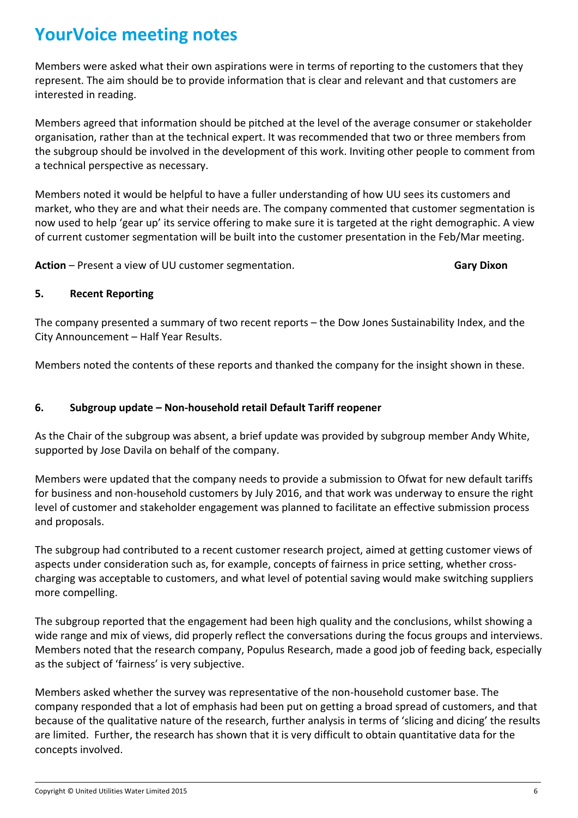Members were asked what their own aspirations were in terms of reporting to the customers that they represent. The aim should be to provide information that is clear and relevant and that customers are interested in reading.

Members agreed that information should be pitched at the level of the average consumer or stakeholder organisation, rather than at the technical expert. It was recommended that two or three members from the subgroup should be involved in the development of this work. Inviting other people to comment from a technical perspective as necessary.

Members noted it would be helpful to have a fuller understanding of how UU sees its customers and market, who they are and what their needs are. The company commented that customer segmentation is now used to help 'gear up' its service offering to make sure it is targeted at the right demographic. A view of current customer segmentation will be built into the customer presentation in the Feb/Mar meeting.

**Action** – Present a view of UU customer segmentation. **Gary Dixon Gary Dixon** 

#### **5. Recent Reporting**

The company presented a summary of two recent reports – the Dow Jones Sustainability Index, and the City Announcement – Half Year Results.

Members noted the contents of these reports and thanked the company for the insight shown in these.

#### **6. Subgroup update – Non-household retail Default Tariff reopener**

As the Chair of the subgroup was absent, a brief update was provided by subgroup member Andy White, supported by Jose Davila on behalf of the company.

Members were updated that the company needs to provide a submission to Ofwat for new default tariffs for business and non-household customers by July 2016, and that work was underway to ensure the right level of customer and stakeholder engagement was planned to facilitate an effective submission process and proposals.

The subgroup had contributed to a recent customer research project, aimed at getting customer views of aspects under consideration such as, for example, concepts of fairness in price setting, whether crosscharging was acceptable to customers, and what level of potential saving would make switching suppliers more compelling.

The subgroup reported that the engagement had been high quality and the conclusions, whilst showing a wide range and mix of views, did properly reflect the conversations during the focus groups and interviews. Members noted that the research company, Populus Research, made a good job of feeding back, especially as the subject of 'fairness' is very subjective.

Members asked whether the survey was representative of the non-household customer base. The company responded that a lot of emphasis had been put on getting a broad spread of customers, and that because of the qualitative nature of the research, further analysis in terms of 'slicing and dicing' the results are limited. Further, the research has shown that it is very difficult to obtain quantitative data for the concepts involved.